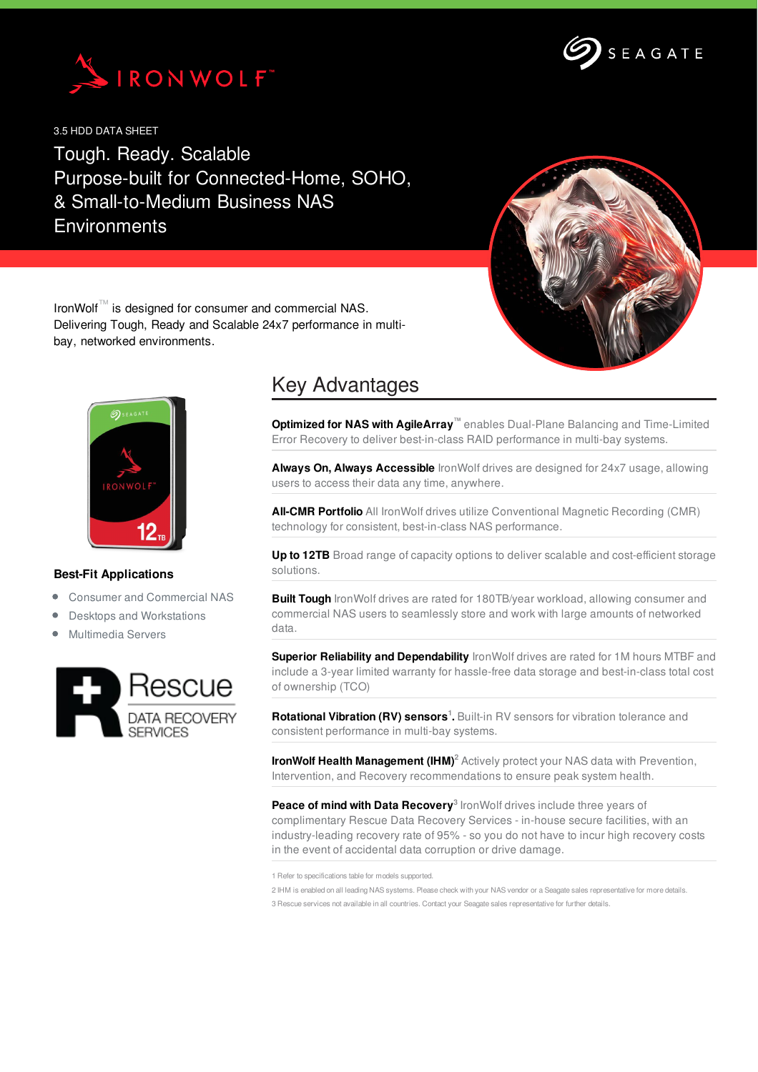



3.5 HDD DATA SHEET

Tough. Ready. Scalable Purpose-built for Connected-Home, SOHO, & Small-to-Medium Business NAS **Environments** 



IronWolf™ is designed for consumer and commercial NAS. Delivering Tough, Ready and Scalable 24x7 performance in multibay, networked environments.



## **Best-Fit Applications**

- Consumer and Commercial NAS
- Desktops and Workstations
- Multimedia Servers



## Key Advantages

**Optimized for NAS with AgileArray™** enables Dual-Plane Balancing and Time-Limited Error Recovery to deliver best-in-class RAID performance in multi-bay systems.

**Always On, Always Accessible** IronWolf drives are designed for 24x7 usage, allowing users to access their data any time, anywhere.

**All-CMR Portfolio** All IronWolf drives utilize Conventional Magnetic Recording (CMR) technology for consistent, best-in-class NAS performance.

**Up to 12TB** Broad range of capacity options to deliver scalable and cost-efficient storage solutions.

**Built Tough** IronWolf drives are rated for 180TB/year workload, allowing consumer and commercial NAS users to seamlessly store and work with large amounts of networked data.

**Superior Reliability and Dependability** IronWolf drives are rated for 1M hours MTBF and include a 3-year limited warranty for hassle-free data storage and best-in-class total cost of ownership (TCO)

**Rotational Vibration (RV) sensors<sup>1</sup>.** Built-in RV sensors for vibration tolerance and consistent performance in multi-bay systems.

**IronWolf Health Management (IHM) <sup>2</sup>** Actively protect your NAS data with Prevention, Intervention, and Recovery recommendations to ensure peak system health.

**Peace of mind with Data Recovery 3** IronWolf drives include three years of complimentary Rescue Data Recovery Services - in-house secure facilities, with an industry-leading recovery rate of 95% - so you do not have to incur high recovery costs in the event of accidental data corruption or drive damage.

1 Refer to specifications table for models supported.

2 IHM is enabled on all leading NAS systems. Please check with your NAS vendor or a Seagate sales representative for more details. 3 Rescue services not available in all countries. Contact your Seagate sales representative for further details.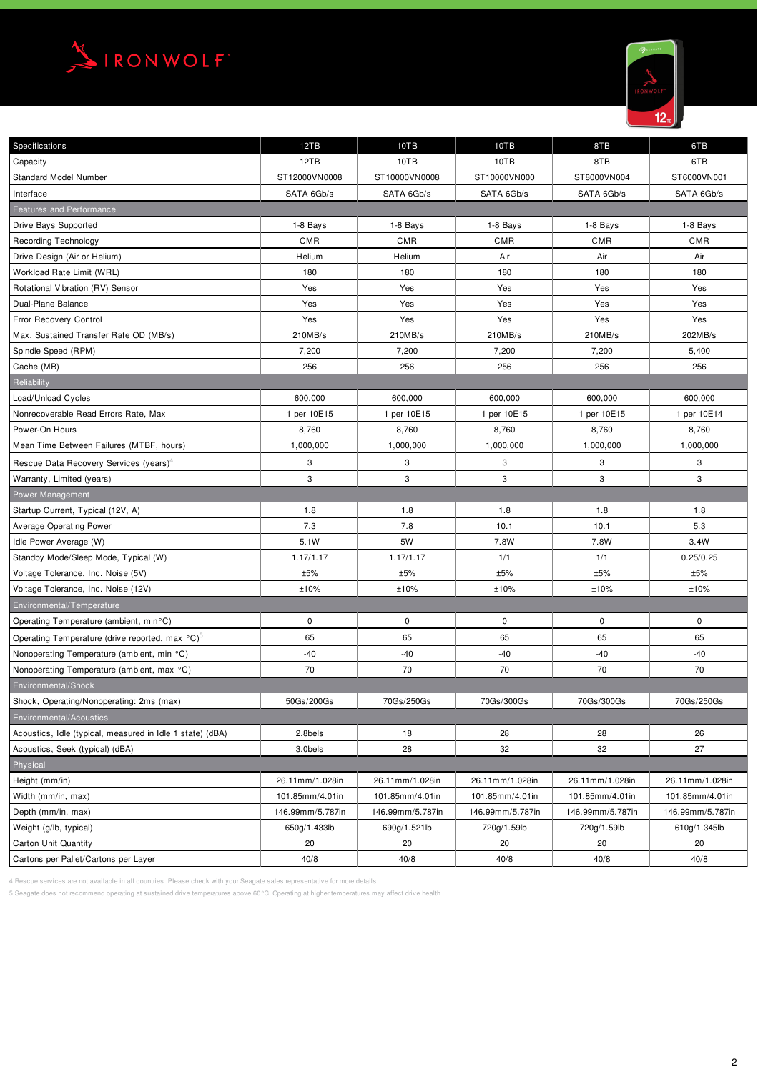



| Specifications                                              | 12TB             | 10TB             | 10TB             | 8TB              | 6TB              |
|-------------------------------------------------------------|------------------|------------------|------------------|------------------|------------------|
| Capacity                                                    | 12TB             | 10TB             | 10TB             | 8TB              | 6TB              |
| <b>Standard Model Number</b>                                | ST12000VN0008    | ST10000VN0008    | ST10000VN000     | ST8000VN004      | ST6000VN001      |
| Interface                                                   | SATA 6Gb/s       | SATA 6Gb/s       | SATA 6Gb/s       | SATA 6Gb/s       | SATA 6Gb/s       |
| <b>Features and Performance</b>                             |                  |                  |                  |                  |                  |
| Drive Bays Supported                                        | 1-8 Bays         | 1-8 Bays         | 1-8 Bays         | 1-8 Bays         | 1-8 Bays         |
| <b>Recording Technology</b>                                 | <b>CMR</b>       | <b>CMR</b>       | <b>CMR</b>       | <b>CMR</b>       | CMR              |
| Drive Design (Air or Helium)                                | Helium           | Helium           | Air              | Air              | Air              |
| Workload Rate Limit (WRL)                                   | 180              | 180              | 180              | 180              | 180              |
| Rotational Vibration (RV) Sensor                            | Yes              | Yes              | Yes              | Yes              | Yes              |
| Dual-Plane Balance                                          | Yes              | Yes              | Yes              | Yes              | Yes              |
| Error Recovery Control                                      | Yes              | Yes              | Yes              | Yes              | Yes              |
| Max. Sustained Transfer Rate OD (MB/s)                      | 210MB/s          | 210MB/s          | 210MB/s          | 210MB/s          | 202MB/s          |
| Spindle Speed (RPM)                                         | 7,200            | 7,200            | 7,200            | 7,200            | 5,400            |
| Cache (MB)                                                  | 256              | 256              | 256              | 256              | 256              |
| Reliability                                                 |                  |                  |                  |                  |                  |
| Load/Unload Cycles                                          | 600,000          | 600,000          | 600,000          | 600,000          | 600,000          |
| Nonrecoverable Read Errors Rate, Max                        | 1 per 10E15      | 1 per 10E15      | 1 per 10E15      | 1 per 10E15      | 1 per 10E14      |
| Power-On Hours                                              | 8,760            | 8,760            | 8,760            | 8,760            | 8,760            |
| Mean Time Between Failures (MTBF, hours)                    | 1,000,000        | 1,000,000        | 1,000,000        | 1,000,000        | 1,000,000        |
| Rescue Data Recovery Services (years) <sup>4</sup>          | 3                | 3                | 3                | 3                | 3                |
| Warranty, Limited (years)                                   | 3                | 3                | 3                | 3                | 3                |
| Power Management                                            |                  |                  |                  |                  |                  |
| Startup Current, Typical (12V, A)                           | 1.8              | 1.8              | 1.8              | 1.8              | 1.8              |
| <b>Average Operating Power</b>                              | 7.3              | 7.8              | 10.1             | 10.1             | 5.3              |
| Idle Power Average (W)                                      | 5.1W             | 5W               | 7.8W             | 7.8W             | 3.4W             |
| Standby Mode/Sleep Mode, Typical (W)                        | 1.17/1.17        | 1.17/1.17        | 1/1              | 1/1              | 0.25/0.25        |
| Voltage Tolerance, Inc. Noise (5V)                          | ±5%              | ±5%              | ±5%              | ±5%              | ±5%              |
| Voltage Tolerance, Inc. Noise (12V)                         | ±10%             | ±10%             | ±10%             | ±10%             | ±10%             |
| Environmental/Temperature                                   |                  |                  |                  |                  |                  |
| Operating Temperature (ambient, min°C)                      | $\pmb{0}$        | $\pmb{0}$        | 0                | 0                | 0                |
| Operating Temperature (drive reported, max °C) <sup>o</sup> | 65               | 65               | 65               | 65               | 65               |
| Nonoperating Temperature (ambient, min °C)                  | $-40$            | $-40$            | $-40$            | $-40$            | $-40$            |
| Nonoperating Temperature (ambient, max °C)                  | 70               | 70               | 70               | 70               | 70               |
| Environmental/Shock                                         |                  |                  |                  |                  |                  |
| Shock, Operating/Nonoperating: 2ms (max)                    | 50Gs/200Gs       | 70Gs/250Gs       | 70Gs/300Gs       | 70Gs/300Gs       | 70Gs/250Gs       |
| Environmental/Acoustics                                     |                  |                  |                  |                  |                  |
| Acoustics, Idle (typical, measured in Idle 1 state) (dBA)   | 2.8bels          | 18               | 28               | 28               | 26               |
| Acoustics, Seek (typical) (dBA)                             | 3.0bels          | 28               | 32               | 32               | 27               |
| Physical                                                    |                  |                  |                  |                  |                  |
| Height (mm/in)                                              | 26.11mm/1.028in  | 26.11mm/1.028in  | 26.11mm/1.028in  | 26.11mm/1.028in  | 26.11mm/1.028in  |
| Width (mm/in, max)                                          | 101.85mm/4.01in  | 101.85mm/4.01in  | 101.85mm/4.01in  | 101.85mm/4.01in  | 101.85mm/4.01in  |
| Depth (mm/in, max)                                          | 146.99mm/5.787in | 146.99mm/5.787in | 146.99mm/5.787in | 146.99mm/5.787in | 146.99mm/5.787in |
| Weight (g/lb, typical)                                      | 650g/1.433lb     | 690g/1.521lb     | 720g/1.59lb      | 720g/1.59lb      | 610g/1.345lb     |
| Carton Unit Quantity                                        | 20               | 20               | 20               | 20               | 20               |
| Cartons per Pallet/Cartons per Layer                        | 40/8             | 40/8             | 40/8             | 40/8             | 40/8             |

4 Rescue services are not available in all countries. Please check with your Seagate sales representative for more details.

5 Seagate does not recommend operating at sustained drive temperatures above 60°C. Operating at higher temperatures may affect drive health.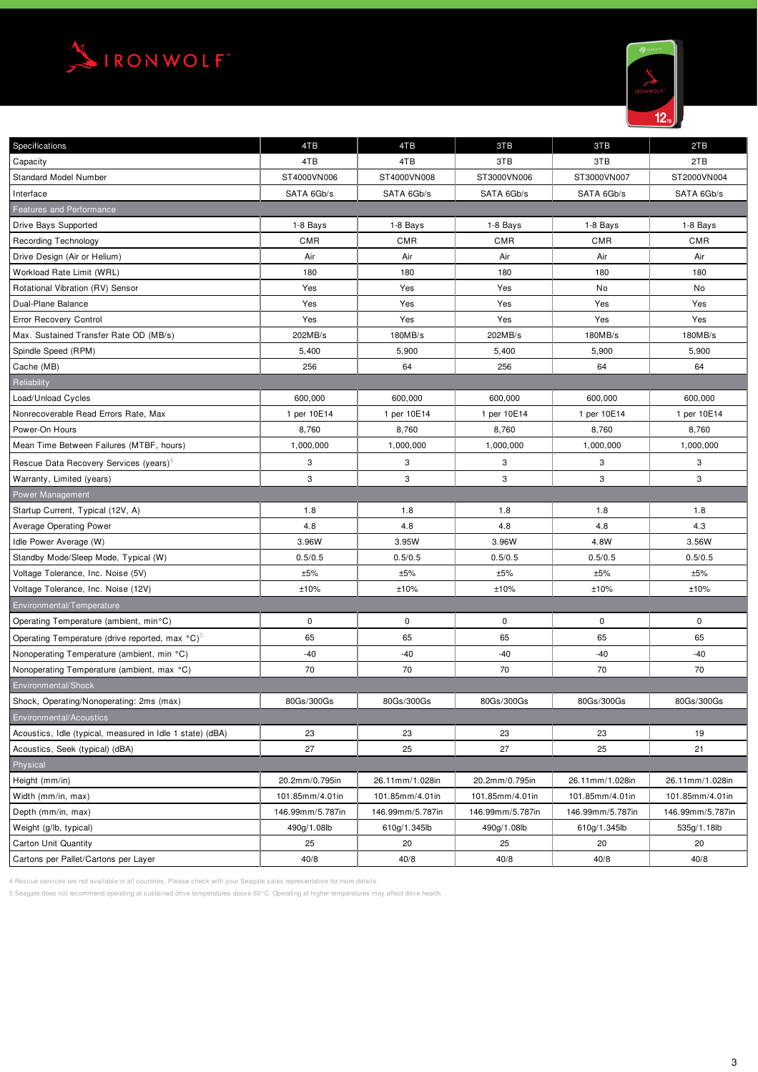



| <b>Specifications</b>                                       | 4TB              | 4TB              | 3TB              | 3TB              | 2TB              |  |  |  |  |
|-------------------------------------------------------------|------------------|------------------|------------------|------------------|------------------|--|--|--|--|
| Capacity                                                    | 4TB              | 4TB              | 3TB              | 3TB              | 2TB              |  |  |  |  |
| <b>Standard Model Number</b>                                | ST4000VN006      | ST4000VN008      | ST3000VN006      | ST3000VN007      | ST2000VN004      |  |  |  |  |
| Interface                                                   | SATA 6Gb/s       | SATA 6Gb/s       | SATA 6Gb/s       | SATA 6Gb/s       | SATA 6Gb/s       |  |  |  |  |
| <b>Features and Performance</b>                             |                  |                  |                  |                  |                  |  |  |  |  |
| Drive Bays Supported                                        | 1-8 Bays         | 1-8 Bays         | 1-8 Bays         | 1-8 Bays         | 1-8 Bays         |  |  |  |  |
| <b>Recording Technology</b>                                 | <b>CMR</b>       | <b>CMR</b>       | <b>CMR</b>       | <b>CMR</b>       | CMR              |  |  |  |  |
| Drive Design (Air or Helium)                                | Air              | Air              | Air              | Air              | Air              |  |  |  |  |
| Workload Rate Limit (WRL)                                   | 180              | 180              | 180              | 180              | 180              |  |  |  |  |
| Rotational Vibration (RV) Sensor                            | Yes              | Yes              | Yes              | No               | No               |  |  |  |  |
| Dual-Plane Balance                                          | Yes              | Yes              | Yes              | Yes              | Yes              |  |  |  |  |
| Error Recovery Control                                      | Yes              | Yes              | Yes              | Yes              | Yes              |  |  |  |  |
| Max. Sustained Transfer Rate OD (MB/s)                      | 202MB/s          | 180MB/s          | 202MB/s          | 180MB/s          | 180MB/s          |  |  |  |  |
| Spindle Speed (RPM)                                         | 5,400            | 5,900            | 5,400            | 5,900            | 5,900            |  |  |  |  |
| Cache (MB)                                                  | 256              | 64               | 256              | 64               | 64               |  |  |  |  |
| Reliability                                                 |                  |                  |                  |                  |                  |  |  |  |  |
| Load/Unload Cycles                                          | 600,000          | 600,000          | 600,000          | 600,000          | 600,000          |  |  |  |  |
| Nonrecoverable Read Errors Rate, Max                        | 1 per 10E14      | 1 per 10E14      | 1 per 10E14      | 1 per 10E14      | 1 per 10E14      |  |  |  |  |
| Power-On Hours                                              | 8,760            | 8,760            | 8,760            | 8,760            | 8,760            |  |  |  |  |
| Mean Time Between Failures (MTBF, hours)                    | 1,000,000        | 1,000,000        | 1,000,000        | 1,000,000        | 1,000,000        |  |  |  |  |
| Rescue Data Recovery Services (years) <sup>4</sup>          | 3                | 3                | 3                | 3                | 3                |  |  |  |  |
| Warranty, Limited (years)                                   | 3                | 3                | 3                | 3                | 3                |  |  |  |  |
| Power Management                                            |                  |                  |                  |                  |                  |  |  |  |  |
| Startup Current, Typical (12V, A)                           | 1.8              | 1.8              | 1.8              | 1.8              | 1.8              |  |  |  |  |
| <b>Average Operating Power</b>                              | 4.8              | 4.8              | 4.8              | 4.8              | 4.3              |  |  |  |  |
| Idle Power Average (W)                                      | 3.96W            | 3.95W            | 3.96W            | 4.8W             | 3.56W            |  |  |  |  |
| Standby Mode/Sleep Mode, Typical (W)                        | 0.5/0.5          | 0.5/0.5          | 0.5/0.5          | 0.5/0.5          | 0.5/0.5          |  |  |  |  |
| Voltage Tolerance, Inc. Noise (5V)                          | ±5%              | ±5%              | ±5%              | ±5%              | ±5%              |  |  |  |  |
| Voltage Tolerance, Inc. Noise (12V)                         | ±10%             | ±10%             | ±10%             | ±10%             | ±10%             |  |  |  |  |
| Environmental/Temperature                                   |                  |                  |                  |                  |                  |  |  |  |  |
| Operating Temperature (ambient, min°C)                      | 0                | $\mathsf 0$      | 0                | 0                | 0                |  |  |  |  |
| Operating Temperature (drive reported, max °C) <sup>5</sup> | 65               | 65               | 65               | 65               | 65               |  |  |  |  |
| Nonoperating Temperature (ambient, min °C)                  | $-40$            | $-40$            | $-40$            | $-40$            | $-40$            |  |  |  |  |
| Nonoperating Temperature (ambient, max °C)                  | 70               | 70               | 70               | 70               | 70               |  |  |  |  |
| Environmental/Shock                                         |                  |                  |                  |                  |                  |  |  |  |  |
| Shock, Operating/Nonoperating: 2ms (max)                    | 80Gs/300Gs       | 80Gs/300Gs       | 80Gs/300Gs       | 80Gs/300Gs       | 80Gs/300Gs       |  |  |  |  |
| Environmental/Acoustics                                     |                  |                  |                  |                  |                  |  |  |  |  |
| Acoustics, Idle (typical, measured in Idle 1 state) (dBA)   | 23               | 23               | 23               | 23               | 19               |  |  |  |  |
| Acoustics, Seek (typical) (dBA)                             | 27               | 25               | 27               | 25               | 21               |  |  |  |  |
| Physical                                                    |                  |                  |                  |                  |                  |  |  |  |  |
| Height (mm/in)                                              | 20.2mm/0.795in   | 26.11mm/1.028in  | 20.2mm/0.795in   | 26.11mm/1.028in  | 26.11mm/1.028in  |  |  |  |  |
| Width (mm/in, max)                                          | 101.85mm/4.01in  | 101.85mm/4.01in  | 101.85mm/4.01in  | 101.85mm/4.01in  | 101.85mm/4.01in  |  |  |  |  |
| Depth (mm/in, max)                                          | 146.99mm/5.787in | 146.99mm/5.787in | 146.99mm/5.787in | 146.99mm/5.787in | 146.99mm/5.787in |  |  |  |  |
| Weight (g/lb, typical)                                      | 490g/1.08lb      | 610g/1.345lb     | 490g/1.08lb      | 610g/1.345lb     | 535g/1.18lb      |  |  |  |  |
| <b>Carton Unit Quantity</b>                                 | 25               | 20               | 25               | 20               | 20               |  |  |  |  |
| Cartons per Pallet/Cartons per Layer                        | 40/8             | 40/8             | 40/8             | 40/8             | 40/8             |  |  |  |  |

4 Rescue services are not available in all countries. Please check with your Seagate sales representative for more details.

5 Seagate does not recommend operating at sustained drive temperatures above 60°C. Operating at higher temperatures may affect drive health.